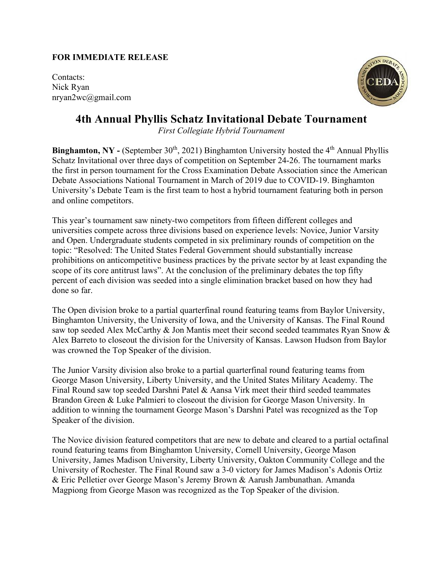## **FOR IMMEDIATE RELEASE**

Contacts: Nick Ryan nryan2wc@gmail.com



## **4th Annual Phyllis Schatz Invitational Debate Tournament**

*First Collegiate Hybrid Tournament* 

Binghamton, NY - (September 30<sup>th</sup>, 2021) Binghamton University hosted the 4<sup>th</sup> Annual Phyllis Schatz Invitational over three days of competition on September 24-26. The tournament marks the first in person tournament for the Cross Examination Debate Association since the American Debate Associations National Tournament in March of 2019 due to COVID-19. Binghamton University's Debate Team is the first team to host a hybrid tournament featuring both in person and online competitors.

This year's tournament saw ninety-two competitors from fifteen different colleges and universities compete across three divisions based on experience levels: Novice, Junior Varsity and Open. Undergraduate students competed in six preliminary rounds of competition on the topic: "Resolved: The United States Federal Government should substantially increase prohibitions on anticompetitive business practices by the private sector by at least expanding the scope of its core antitrust laws". At the conclusion of the preliminary debates the top fifty percent of each division was seeded into a single elimination bracket based on how they had done so far.

The Open division broke to a partial quarterfinal round featuring teams from Baylor University, Binghamton University, the University of Iowa, and the University of Kansas. The Final Round saw top seeded Alex McCarthy & Jon Mantis meet their second seeded teammates Ryan Snow & Alex Barreto to closeout the division for the University of Kansas. Lawson Hudson from Baylor was crowned the Top Speaker of the division.

The Junior Varsity division also broke to a partial quarterfinal round featuring teams from George Mason University, Liberty University, and the United States Military Academy. The Final Round saw top seeded Darshni Patel & Aansa Virk meet their third seeded teammates Brandon Green & Luke Palmieri to closeout the division for George Mason University. In addition to winning the tournament George Mason's Darshni Patel was recognized as the Top Speaker of the division.

The Novice division featured competitors that are new to debate and cleared to a partial octafinal round featuring teams from Binghamton University, Cornell University, George Mason University, James Madison University, Liberty University, Oakton Community College and the University of Rochester. The Final Round saw a 3-0 victory for James Madison's Adonis Ortiz & Eric Pelletier over George Mason's Jeremy Brown & Aarush Jambunathan. Amanda Magpiong from George Mason was recognized as the Top Speaker of the division.